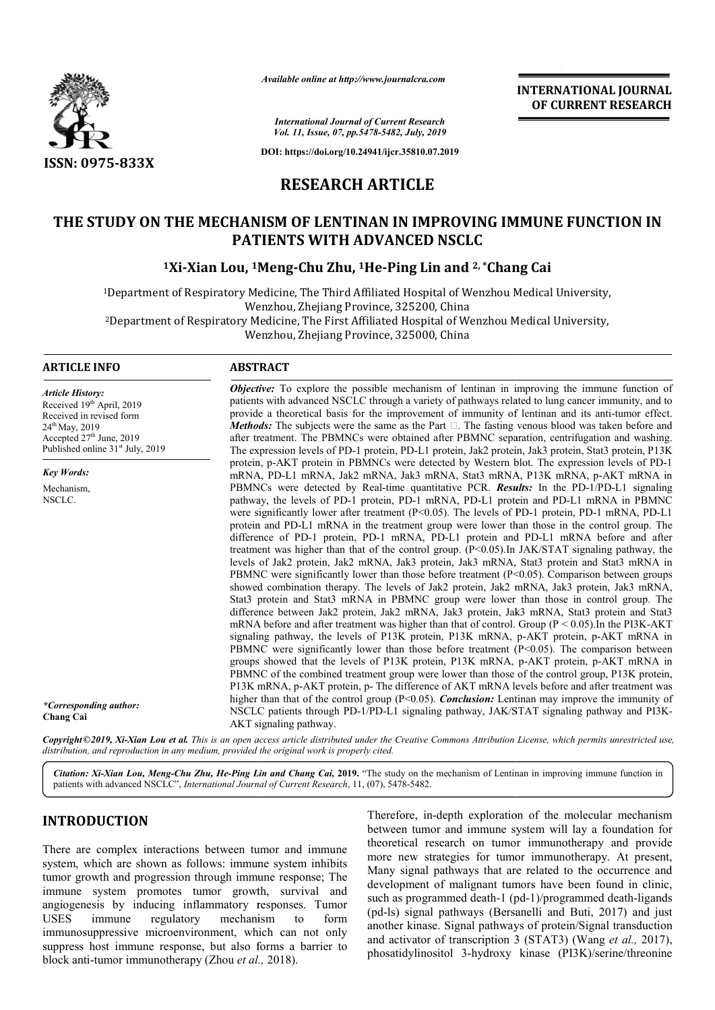

*Available online at http://www.journalcra.com*

**INTERNATIONAL JOURNAL OF CURRENT RESEARCH**

*International Journal of Current Research Vol. 11, Issue, 07, pp.5478-5482, July, 2019*

**DOI: https://doi.org/10.24941/ijcr.35810.07.2019**

# **RESEARCH ARTICLE**

# **THE STUDY ON THE MECHANISM OF LENTINAN IN IMPROVING IMMUNE FUNCTION IN PATIENTS WITH ADVANCED NSCLC** THE MECHANISM OF LENTINAN IN IMPROVING IMMUN<br>PATIENTS WITH ADVANCED NSCLC<br><sup>1</sup>Xi-Xian Lou, <sup>1</sup>Meng-Chu Zhu, <sup>1</sup>He-Ping Lin and <sup>2, \*</sup>Chang Cai

1Department of Respiratory Medicine, The Third Affiliated Hospital of Wenzhou Medical University, Department Wenzhou, Zhejiang Province, 325200, China Department of Respiratory Medicine, The Third Affiliated Hospital of Wenzhou Medical University, Wenzhou, Zhejiang Province, 325200, China<br>Department of Respiratory Medicine, The First Affiliated Hospital of Wenzhou Medica Wenzhou, Zhejiang Province, 325000, China

#### **ARTICLE INFO ABSTRACT**

*Article History:* Received 19<sup>th</sup> April, 2019 Received in revised form 24th May, 2019 Accepted 27<sup>th</sup> June, 2019 Published online  $31<sup>st</sup>$  July, 2019

*Key Words:*

Mechanism, NSCLC.

patients with advanced NSCLC through a variety of pathways related to lung cancer immunity, and to provide a theoretical basis for the improvement of immunity of lentinan and its anti *Methods:* The subjects were the same as the Part  $\Box$ . The fasting venous blood was taken before and after treat treatment. The PBMNCs were obtained after PBMNC separation, centrifugation and washing. The expression levels of PD-1 protein, PD-L1 protein, Jak2 protein, Jak3 protein, Stat3 protein, P13K protein, p-AKT protein in PBMNCs were detected by Western blot. The exp mRNA, PD-L1 mRNA, Jak2 mRNA, Jak3 mRNA, Stat3 mRNA, P13K mRNA, p-AKT mRNA in PBMNCs were detected by Real-time quantitative PCR. **Results:** In the PD-1/PD-L1 signaling pathway, the levels of PD-1 protein, PD-1 mRNA, PD-L1 protein and PD-L1 mRNA in PBMNC were significantly lower after treatment  $(P<0.05)$ . The levels of PD-1 protein, PD-1 mRNA, PD-L1 protein and PD-L1 mRNA in the treatment group were lower than those in the control group. The protein and PD-L1 mRNA in the treatment group were lower than those in the control group. The difference of PD-1 protein, PD-1 mRNA, PD-L1 protein and PD-L1 mRNA before and after treatment was higher than that of the control group. (P<0.05).In JAK/STAT signaling pathway, the levels of Jak2 protein, Jak2 mRNA, Jak3 protein, Jak3 mRNA, Stat3 protein and Stat3 mRNA in PBMNC were significantly lower than those before treatment  $(P<0.05)$ . Comparison between groups showed combination therapy. The levels of Jak2 protein, Jak2 mRNA, Jak3 protein, Jak3 mRNA, Stat3 protein and Stat3 mRNA in PBMNC group were lower than those in control group. The difference between Jak2 protein, Jak2 mRNA, Jak3 protein, Jak3 mRNA, Stat3 protein and Stat3 mRNA before and after treatment was higher than that of control. Group ( $P \le 0.05$ ). In the PI3K-AKT signaling pathway, the levels of P13K protein, P13K mRNA, p-AKT protein, p-AKT mRNA in PBMNC were significantly lower than those before treatment (P<0.05). The comparison between PBMNC were significantly lower than those before treatment ( $P<0.05$ ). The comparison between groups showed that the levels of P13K protein, P13K mRNA, p-AKT protein, p-AKT mRNA in PBMNC of the combined treatment group were lower than those of the control group, P13K protein, P13K mRNA, p-AKT protein, p- The difference of AKT mRNA levels before and after treatment was higher than that of the control group (P<0.05). *Conclusion:* Lentinan may improve the immunity of P13K mRNA, p-AKT protein, p- The difference of AKT mRNA levels before and after treatment was higher than that of the control group (P<0.05). *Conclusion*: Lentinan may improve the immunity of NSCLC patients through PD-1/P AKT signaling pathway. **Objective:** To explore the possible mechanism of lentinan in improving the immune function of patients with advanced NSCLC through a variety of pathways related to lung cancer immunity, and to provide a theoretical basis The subjects were the same as the Part  $\Box$ . The fasting venous blood was taken before and ment. The PBMNCs were obtained after PBMNC separation, centrifugation and washing. ssion levels of PD-1 protein, PD-L1 protein, Ja treatment was higher than that of the control group. (P<0.05).In JAK/STAT signaling pathway, the levels of Jak2 mRNA, Jak3 protein, Jak3 mRNA in PBMNC were significantly lower than those before treatment (P<0.05). Comparis **INTERNATIONAL JOURNAL OF CURRENT RESEARCH**<br> **OF CURRENT RESEARCH**<br>
2. **Chang Cai**<br>
2. **Chang Cai**<br>
2. **Chang Cai**<br>
fenzhou Medical University,<br>
menzhou Medical University,<br>
menzhou Medical University,<br>
menzhou Medical Un

*Objective*: To explore the possible mechanism of lentinan in improving the immune function of

Copyright©2019, Xi-Xian Lou et al. This is an open access article distributed under the Creative Commons Attribution License, which permits unrestricted use, *distribution, and reproduction in any medium, provided the original work is properly cited.*

Citation: Xi-Xian Lou, Meng-Chu Zhu, He-Ping Lin and Chang Cai, 2019. "The study on the mechanism of Lentinan in improving immune function in patients with advanced NSCLC", *International Journal of Current Research* , 11, (07), 5478-5482.

# **INTRODUCTION**

*\*Corresponding author:* 

**Chang Cai**

There are complex interactions between tumor and immune system, which are shown as follows: immune system inhibits tumor growth and progression through immune response; The immune system promotes tumor growth, survival and angiogenesis by inducing inflammatory responses. Tumor USES immune regulatory mechanism to form immunosuppressive microenvironment, which can not only suppress host immune response, but also forms a barrier to angiogenesis by inducing inflammatory response<br>USES immune regulatory mechanism t<br>immunosuppressive microenvironment, which can<br>suppress host immune response, but also forms a<br>block anti-tumor immunotherapy (Zhou *et al.*,

Therefore, in-depth exploration of the molecular mechanism between tumor and immune system will lay a foundation for theoretical research on tumor immunotherapy and provide more new strategies for tumor immunotherapy. At present, Many signal pathways that are related to the occurrence and development of malignant tumors have been found in clinic, development of malignant tumors have been found in clinic, such as programmed death-1 (pd-1)/programmed death-ligands (pd-ls) signal pathways (Bersanelli and Buti, 2017) and just another kinase. Signal pathways of protein/Signal transduction another kinase. Signal pathways of protein/Signal transduction<br>and activator of transcription 3 (STAT3) (Wang *et al.*, 2017), phosatidylinositol 3-hydroxy kinase (PI3K)/serine/threonine e, in-depth exploration of the molecular mechanism<br>tumor and immune system will lay a foundation for<br>al research on tumor immunotherapy and provide<br>w strategies for tumor immunotherapy. At present,<br>gnal pathways that are r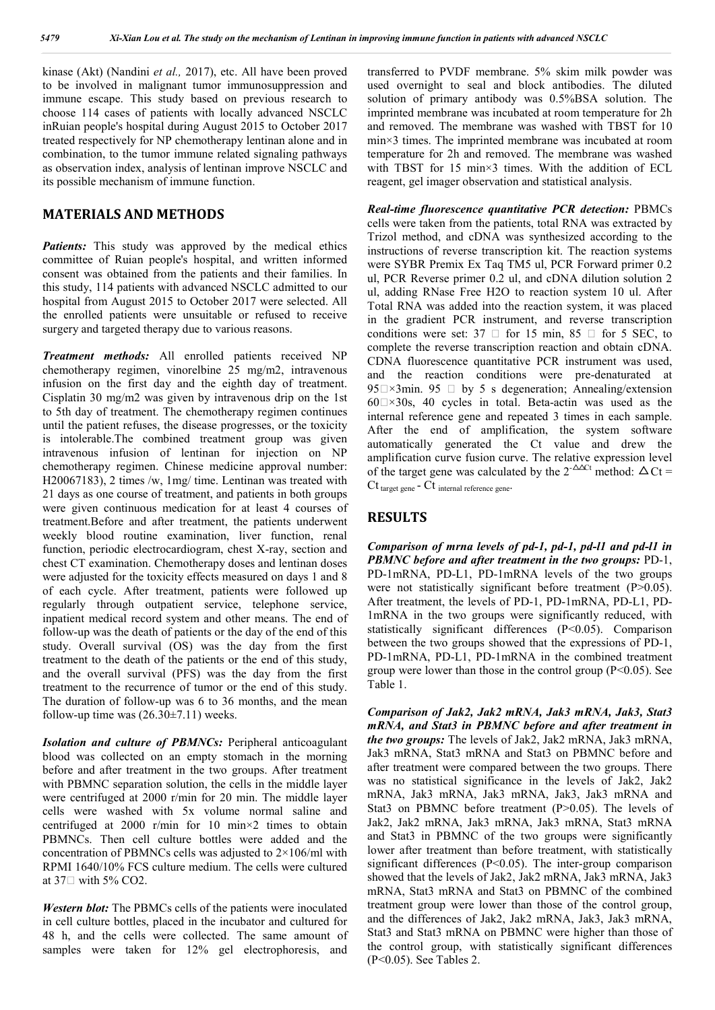kinase (Akt) (Nandini *et al.,* 2017), etc. All have been proved to be involved in malignant tumor immunosuppression and immune escape. This study based on previous research to choose 114 cases of patients with locally advanced NSCLC inRuian people's hospital during August 2015 to October 2017 treated respectively for NP chemotherapy lentinan alone and in combination, to the tumor immune related signaling pathways as observation index, analysis of lentinan improve NSCLC and its possible mechanism of immune function.

#### **MATERIALS AND METHODS**

*Patients:* This study was approved by the medical ethics committee of Ruian people's hospital, and written informed consent was obtained from the patients and their families. In this study, 114 patients with advanced NSCLC admitted to our hospital from August 2015 to October 2017 were selected. All the enrolled patients were unsuitable or refused to receive surgery and targeted therapy due to various reasons.

*Treatment methods:* All enrolled patients received NP chemotherapy regimen, vinorelbine 25 mg/m2, intravenous infusion on the first day and the eighth day of treatment. Cisplatin 30 mg/m2 was given by intravenous drip on the 1st to 5th day of treatment. The chemotherapy regimen continues until the patient refuses, the disease progresses, or the toxicity is intolerable.The combined treatment group was given intravenous infusion of lentinan for injection on NP chemotherapy regimen. Chinese medicine approval number: H20067183), 2 times /w, 1mg/ time. Lentinan was treated with 21 days as one course of treatment, and patients in both groups were given continuous medication for at least 4 courses of treatment.Before and after treatment, the patients underwent weekly blood routine examination, liver function, renal function, periodic electrocardiogram, chest X-ray, section and chest CT examination. Chemotherapy doses and lentinan doses were adjusted for the toxicity effects measured on days 1 and 8 of each cycle. After treatment, patients were followed up regularly through outpatient service, telephone service, inpatient medical record system and other means. The end of follow-up was the death of patients or the day of the end of this study. Overall survival (OS) was the day from the first treatment to the death of the patients or the end of this study, and the overall survival (PFS) was the day from the first treatment to the recurrence of tumor or the end of this study. The duration of follow-up was 6 to 36 months, and the mean follow-up time was  $(26.30\pm7.11)$  weeks.

*Isolation and culture of PBMNCs:* Peripheral anticoagulant blood was collected on an empty stomach in the morning before and after treatment in the two groups. After treatment with PBMNC separation solution, the cells in the middle layer were centrifuged at 2000 r/min for 20 min. The middle layer cells were washed with 5x volume normal saline and centrifuged at 2000 r/min for 10 min×2 times to obtain PBMNCs. Then cell culture bottles were added and the concentration of PBMNCs cells was adjusted to 2×106/ml with RPMI 1640/10% FCS culture medium. The cells were cultured at  $37 \square$  with  $5\%$  CO2.

*Western blot:* The PBMCs cells of the patients were inoculated in cell culture bottles, placed in the incubator and cultured for 48 h, and the cells were collected. The same amount of samples were taken for 12% gel electrophoresis, and

transferred to PVDF membrane. 5% skim milk powder was used overnight to seal and block antibodies. The diluted solution of primary antibody was 0.5%BSA solution. The imprinted membrane was incubated at room temperature for 2h and removed. The membrane was washed with TBST for 10 min×3 times. The imprinted membrane was incubated at room temperature for 2h and removed. The membrane was washed with TBST for 15 min×3 times. With the addition of ECL reagent, gel imager observation and statistical analysis.

*Real-time fluorescence quantitative PCR detection:* PBMCs cells were taken from the patients, total RNA was extracted by Trizol method, and cDNA was synthesized according to the instructions of reverse transcription kit. The reaction systems were SYBR Premix Ex Taq TM5 ul, PCR Forward primer 0.2 ul, PCR Reverse primer 0.2 ul, and cDNA dilution solution 2 ul, adding RNase Free H2O to reaction system 10 ul. After Total RNA was added into the reaction system, it was placed in the gradient PCR instrument, and reverse transcription conditions were set:  $37 \Box$  for  $15 \text{ min}$ ,  $85 \Box$  for  $5 \text{ SEC}$ , to complete the reverse transcription reaction and obtain cDNA. CDNA fluorescence quantitative PCR instrument was used, and the reaction conditions were pre-denaturated at 95 $\Box \times 3$ min. 95  $\Box$  by 5 s degeneration; Annealing/extension  $60\degree\!\!\!\!\!\times30s$ , 40 cycles in total. Beta-actin was used as the internal reference gene and repeated 3 times in each sample. After the end of amplification, the system software automatically generated the Ct value and drew the amplification curve fusion curve. The relative expression level of the target gene was calculated by the  $2^{-\Delta\Delta ct}$  method:  $\Delta Ct =$ Ct target gene - Ct internal reference gene-

# **RESULTS**

*Comparison of mrna levels of pd-1, pd-1, pd-l1 and pd-l1 in PBMNC before and after treatment in the two groups:* PD-1, PD-1mRNA, PD-L1, PD-1mRNA levels of the two groups were not statistically significant before treatment (P>0.05). After treatment, the levels of PD-1, PD-1mRNA, PD-L1, PD-1mRNA in the two groups were significantly reduced, with statistically significant differences (P<0.05). Comparison between the two groups showed that the expressions of PD-1, PD-1mRNA, PD-L1, PD-1mRNA in the combined treatment group were lower than those in the control group  $(P<0.05)$ . See Table 1.

*Comparison of Jak2, Jak2 mRNA, Jak3 mRNA, Jak3, Stat3 mRNA, and Stat3 in PBMNC before and after treatment in the two groups:* The levels of Jak2, Jak2 mRNA, Jak3 mRNA, Jak3 mRNA, Stat3 mRNA and Stat3 on PBMNC before and after treatment were compared between the two groups. There was no statistical significance in the levels of Jak2, Jak2 mRNA, Jak3 mRNA, Jak3 mRNA, Jak3, Jak3 mRNA and Stat3 on PBMNC before treatment (P>0.05). The levels of Jak2, Jak2 mRNA, Jak3 mRNA, Jak3 mRNA, Stat3 mRNA and Stat3 in PBMNC of the two groups were significantly lower after treatment than before treatment, with statistically significant differences (P<0.05). The inter-group comparison showed that the levels of Jak2, Jak2 mRNA, Jak3 mRNA, Jak3 mRNA, Stat3 mRNA and Stat3 on PBMNC of the combined treatment group were lower than those of the control group, and the differences of Jak2, Jak2 mRNA, Jak3, Jak3 mRNA, Stat3 and Stat3 mRNA on PBMNC were higher than those of the control group, with statistically significant differences (P<0.05). See Tables 2.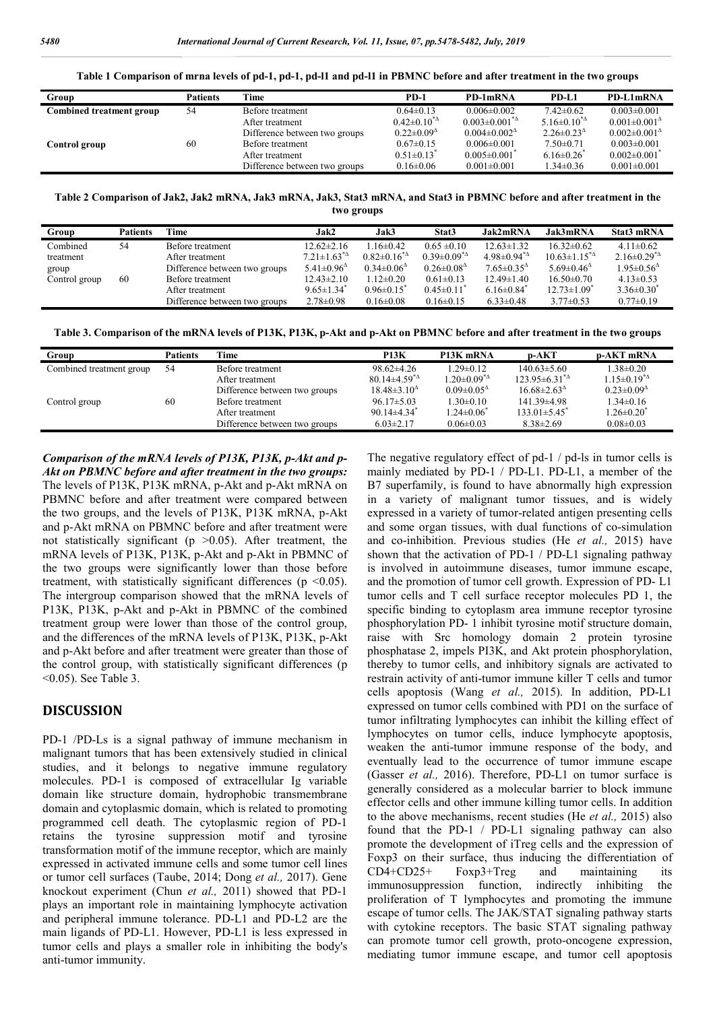|  | Table 1 Comparison of mrna levels of pd-1, pd-1, pd-11 and pd-11 in PBMNC before and after treatment in the two groups |  |  |  |  |  |  |
|--|------------------------------------------------------------------------------------------------------------------------|--|--|--|--|--|--|
|  |                                                                                                                        |  |  |  |  |  |  |

| Group                    | Patients | Time                          | <b>PD-1</b>                                       | PD-1mRNA                                            | PD-L1                   | PD-L1mRNA                                           |
|--------------------------|----------|-------------------------------|---------------------------------------------------|-----------------------------------------------------|-------------------------|-----------------------------------------------------|
| Combined treatment group | 54       | Before treatment              | $0.64 \pm 0.13$                                   | $0.006 \pm 0.002$                                   | $7.42\pm0.62$           | $0.003 \pm 0.001$                                   |
|                          |          | After treatment               | $0.42 \pm 0.10^{*4}$                              | $0.003 \pm 0.001^{*2}$                              | $5.16 \pm 0.10^{*4}$    | $0.001 \pm 0.001$ <sup><math>\triangle</math></sup> |
|                          |          | Difference between two groups | $0.22 \pm 0.09$ <sup><math>\triangle</math></sup> | $0.004 \pm 0.002$ <sup><math>\triangle</math></sup> | $2.26 \pm 0.23^{\circ}$ | $0.002 \pm 0.001$ <sup><math>\triangle</math></sup> |
| Control group            | 60       | Before treatment              | $0.67 \pm 0.15$                                   | $0.006 \pm 0.001$                                   | $7.50\pm0.71$           | $0.003 \pm 0.001$                                   |
|                          |          | After treatment               | $0.51 \pm 0.13$ <sup>*</sup>                      | $0.005 \pm 0.001$                                   | $6.16 \pm 0.26$         | $0.002 \pm 0.001$ <sup>*</sup>                      |
|                          |          | Difference between two groups | $0.16 \pm 0.06$                                   | $0.001 \pm 0.001$                                   | $1.34 \pm 0.36$         | $0.001 \pm 0.001$                                   |
|                          |          |                               |                                                   |                                                     |                         |                                                     |

**Table 2 Comparison of Jak2, Jak2 mRNA, Jak3 mRNA, Jak3, Stat3 mRNA, and Stat3 in PBMNC before and after treatment in the two groups**

| Group         | Patients | Time                          | Jak2                                                     | Jak3                    | Stat3                   | Jak2mRNA                | Jak3mRNA                | Stat3 mRNA              |
|---------------|----------|-------------------------------|----------------------------------------------------------|-------------------------|-------------------------|-------------------------|-------------------------|-------------------------|
| Combined      | 54       | Before treatment              | $12.62 \pm 2.16$                                         | $1.16 \pm 0.42$         | $0.65 \pm 0.10$         | $12.63 \pm 1.32$        | $16.32\pm0.62$          | $4.11 \pm 0.62$         |
| treatment     |          | After treatment               | $7.21 \pm 1.63^{\ast}$ <sup><math>\triangle</math></sup> | $0.82 \pm 0.16^{*2}$    | $0.39 \pm 0.09^{*}\$    | $4.98\pm0.94^{\ast}$    | $10.63 \pm 1.15^{*2}$   | $2.16\pm0.29^{*}\$      |
| group         |          | Difference between two groups | $5.41 \pm 0.96$ <sup><math>\triangle</math></sup>        | $0.34 \pm 0.06^{\circ}$ | $0.26 \pm 0.08^{\circ}$ | $7.65 \pm 0.35^{\circ}$ | $5.69 \pm 0.46^{\circ}$ | $1.95 \pm 0.56^{\circ}$ |
| Control group | 60       | Before treatment              | $12.43 \pm 2.10$                                         | $1.12\pm0.20$           | $0.61 \pm 0.13$         | $12.49 \pm 1.40$        | $16.50\pm0.70$          | $4.13 \pm 0.53$         |
|               |          | After treatment               | $9.65 \pm 1.34$                                          | $0.96 \pm 0.15$         | $0.45 \pm 0.11$         | $6.16 \pm 0.84$         | $12.73 \pm 1.09$        | $3.36 \pm 0.30^*$       |
|               |          | Difference between two groups | $2.78 \pm 0.98$                                          | $0.16 \pm 0.08$         | $0.16 \pm 0.15$         | $6.33 \pm 0.48$         | $3.77 \pm 0.53$         | $0.77 \pm 0.19$         |

**Table 3. Comparison of the mRNA levels of P13K, P13K, p-Akt and p-Akt on PBMNC before and after treatment in the two groups**

| Group                    | Patients | Time                          | <b>P13K</b>                                     | P13K mRNA                                                | $\mathbf{p}-\mathbf{AKT}$                          | <b>p-AKT mRNA</b>                                 |
|--------------------------|----------|-------------------------------|-------------------------------------------------|----------------------------------------------------------|----------------------------------------------------|---------------------------------------------------|
| Combined treatment group | 54       | Before treatment              | $98.62 \pm 4.26$                                | $1.29 \pm 0.12$                                          | $140.63 \pm 5.60$                                  | $1.38 \pm 0.20$                                   |
|                          |          | After treatment               | 80.14 $\pm$ 4.59 <sup><math>\Delta</math></sup> | $1.20 \pm 0.09^{\ast}$ <sup><math>\triangle</math></sup> | $123.95\pm6.31^{\ast}$                             | $1.15 \pm 0.19^{*2}$                              |
|                          |          | Difference between two groups | $18.48 \pm 3.10^{\circ}$                        | $0.09 \pm 0.05^{\circ}$                                  | $16.68 \pm 2.63$ <sup><math>\triangle</math></sup> | $0.23 \pm 0.09$ <sup><math>\triangle</math></sup> |
| Control group            | 60       | Before treatment              | $96.17 \pm 5.03$                                | $1.30 \pm 0.10$                                          | $141.39\pm4.98$                                    | $1.34 \pm 0.16$                                   |
|                          |          | After treatment               | $90.14\pm4.34$ <sup>*</sup>                     | $1.24 \pm 0.06^*$                                        | $133.01 \pm 5.45$                                  | $1.26 \pm 0.20^*$                                 |
|                          |          | Difference between two groups | $6.03 \pm 2.17$                                 | $0.06 \pm 0.03$                                          | $8.38 \pm 2.69$                                    | $0.08 \pm 0.03$                                   |

*Comparison of the mRNA levels of P13K, P13K, p-Akt and p-Akt on PBMNC before and after treatment in the two groups:*  The levels of P13K, P13K mRNA, p-Akt and p-Akt mRNA on PBMNC before and after treatment were compared between the two groups, and the levels of P13K, P13K mRNA, p-Akt and p-Akt mRNA on PBMNC before and after treatment were not statistically significant ( $p > 0.05$ ). After treatment, the mRNA levels of P13K, P13K, p-Akt and p-Akt in PBMNC of the two groups were significantly lower than those before treatment, with statistically significant differences ( $p \le 0.05$ ). The intergroup comparison showed that the mRNA levels of P13K, P13K, p-Akt and p-Akt in PBMNC of the combined treatment group were lower than those of the control group, and the differences of the mRNA levels of P13K, P13K, p-Akt and p-Akt before and after treatment were greater than those of the control group, with statistically significant differences (p <0.05). See Table 3.

## **DISCUSSION**

PD-1 /PD-Ls is a signal pathway of immune mechanism in malignant tumors that has been extensively studied in clinical studies, and it belongs to negative immune regulatory molecules. PD-1 is composed of extracellular Ig variable domain like structure domain, hydrophobic transmembrane domain and cytoplasmic domain, which is related to promoting programmed cell death. The cytoplasmic region of PD-1 retains the tyrosine suppression motif and tyrosine transformation motif of the immune receptor, which are mainly expressed in activated immune cells and some tumor cell lines or tumor cell surfaces (Taube, 2014; Dong *et al.,* 2017). Gene knockout experiment (Chun *et al.,* 2011) showed that PD-1 plays an important role in maintaining lymphocyte activation and peripheral immune tolerance. PD-L1 and PD-L2 are the main ligands of PD-L1. However, PD-L1 is less expressed in tumor cells and plays a smaller role in inhibiting the body's anti-tumor immunity.

The negative regulatory effect of pd-1 / pd-ls in tumor cells is mainly mediated by PD-1 / PD-L1. PD-L1, a member of the B7 superfamily, is found to have abnormally high expression in a variety of malignant tumor tissues, and is widely expressed in a variety of tumor-related antigen presenting cells and some organ tissues, with dual functions of co-simulation and co-inhibition. Previous studies (He *et al.,* 2015) have shown that the activation of PD-1 / PD-L1 signaling pathway is involved in autoimmune diseases, tumor immune escape, and the promotion of tumor cell growth. Expression of PD- L1 tumor cells and T cell surface receptor molecules PD 1, the specific binding to cytoplasm area immune receptor tyrosine phosphorylation PD- 1 inhibit tyrosine motif structure domain, raise with Src homology domain 2 protein tyrosine phosphatase 2, impels PI3K, and Akt protein phosphorylation, thereby to tumor cells, and inhibitory signals are activated to restrain activity of anti-tumor immune killer T cells and tumor cells apoptosis (Wang *et al.,* 2015). In addition, PD-L1 expressed on tumor cells combined with PD1 on the surface of tumor infiltrating lymphocytes can inhibit the killing effect of lymphocytes on tumor cells, induce lymphocyte apoptosis, weaken the anti-tumor immune response of the body, and eventually lead to the occurrence of tumor immune escape (Gasser *et al.,* 2016). Therefore, PD-L1 on tumor surface is generally considered as a molecular barrier to block immune effector cells and other immune killing tumor cells. In addition to the above mechanisms, recent studies (He *et al.,* 2015) also found that the PD-1 / PD-L1 signaling pathway can also promote the development of iTreg cells and the expression of Foxp3 on their surface, thus inducing the differentiation of CD4+CD25+ Foxp3+Treg and maintaining its immunosuppression function, indirectly inhibiting the proliferation of T lymphocytes and promoting the immune escape of tumor cells. The JAK/STAT signaling pathway starts with cytokine receptors. The basic STAT signaling pathway can promote tumor cell growth, proto-oncogene expression, mediating tumor immune escape, and tumor cell apoptosis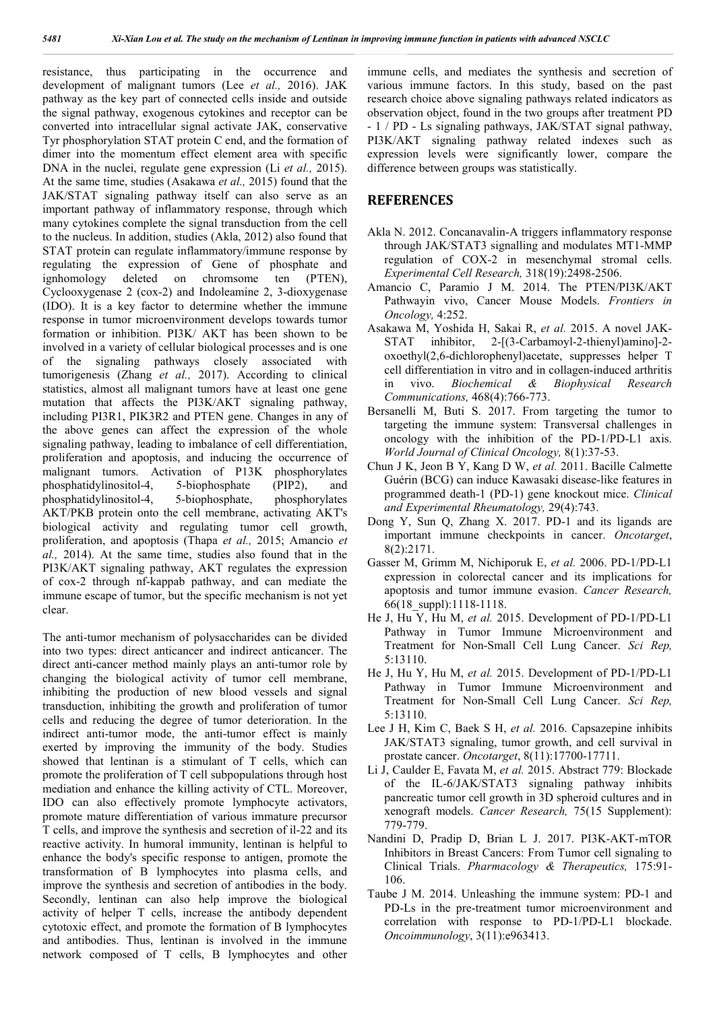resistance, thus participating in the occurrence and development of malignant tumors (Lee *et al.,* 2016). JAK pathway as the key part of connected cells inside and outside the signal pathway, exogenous cytokines and receptor can be converted into intracellular signal activate JAK, conservative Tyr phosphorylation STAT protein C end, and the formation of dimer into the momentum effect element area with specific DNA in the nuclei, regulate gene expression (Li *et al.,* 2015). At the same time, studies (Asakawa *et al.,* 2015) found that the JAK/STAT signaling pathway itself can also serve as an important pathway of inflammatory response, through which many cytokines complete the signal transduction from the cell to the nucleus. In addition, studies (Akla, 2012) also found that STAT protein can regulate inflammatory/immune response by regulating the expression of Gene of phosphate and ignhomology deleted on chromsome ten (PTEN), Cyclooxygenase 2 (cox-2) and Indoleamine 2, 3-dioxygenase (IDO). It is a key factor to determine whether the immune response in tumor microenvironment develops towards tumor formation or inhibition. PI3K/ AKT has been shown to be involved in a variety of cellular biological processes and is one of the signaling pathways closely associated with tumorigenesis (Zhang *et al.,* 2017). According to clinical statistics, almost all malignant tumors have at least one gene mutation that affects the PI3K/AKT signaling pathway, including PI3R1, PIK3R2 and PTEN gene. Changes in any of the above genes can affect the expression of the whole signaling pathway, leading to imbalance of cell differentiation, proliferation and apoptosis, and inducing the occurrence of malignant tumors. Activation of P13K phosphorylates phosphatidylinositol-4, 5-biophosphate (PIP2), and<br>phosphatidylinositol-4, 5-biophosphate, phosphorylates  $phosphatidylinositol-4,$  5-biophosphate, AKT/PKB protein onto the cell membrane, activating AKT's biological activity and regulating tumor cell growth, proliferation, and apoptosis (Thapa *et al.,* 2015; Amancio *et al.,* 2014). At the same time, studies also found that in the PI3K/AKT signaling pathway, AKT regulates the expression of cox-2 through nf-kappab pathway, and can mediate the immune escape of tumor, but the specific mechanism is not yet clear.

The anti-tumor mechanism of polysaccharides can be divided into two types: direct anticancer and indirect anticancer. The direct anti-cancer method mainly plays an anti-tumor role by changing the biological activity of tumor cell membrane, inhibiting the production of new blood vessels and signal transduction, inhibiting the growth and proliferation of tumor cells and reducing the degree of tumor deterioration. In the indirect anti-tumor mode, the anti-tumor effect is mainly exerted by improving the immunity of the body. Studies showed that lentinan is a stimulant of T cells, which can promote the proliferation of T cell subpopulations through host mediation and enhance the killing activity of CTL. Moreover, IDO can also effectively promote lymphocyte activators, promote mature differentiation of various immature precursor T cells, and improve the synthesis and secretion of il-22 and its reactive activity. In humoral immunity, lentinan is helpful to enhance the body's specific response to antigen, promote the transformation of B lymphocytes into plasma cells, and improve the synthesis and secretion of antibodies in the body. Secondly, lentinan can also help improve the biological activity of helper T cells, increase the antibody dependent cytotoxic effect, and promote the formation of B lymphocytes and antibodies. Thus, lentinan is involved in the immune network composed of T cells, B lymphocytes and other

immune cells, and mediates the synthesis and secretion of various immune factors. In this study, based on the past research choice above signaling pathways related indicators as observation object, found in the two groups after treatment PD - 1 / PD - Ls signaling pathways, JAK/STAT signal pathway, PI3K/AKT signaling pathway related indexes such as expression levels were significantly lower, compare the difference between groups was statistically.

## **REFERENCES**

- Akla N. 2012. Concanavalin-A triggers inflammatory response through JAK/STAT3 signalling and modulates MT1-MMP regulation of COX-2 in mesenchymal stromal cells. *Experimental Cell Research,* 318(19):2498-2506.
- Amancio C, Paramio J M. 2014. The PTEN/PI3K/AKT Pathwayin vivo, Cancer Mouse Models. *Frontiers in Oncology,* 4:252.
- Asakawa M, Yoshida H, Sakai R, *et al.* 2015. A novel JAK-STAT inhibitor, 2-[(3-Carbamoyl-2-thienyl)amino]-2 oxoethyl(2,6-dichlorophenyl)acetate, suppresses helper T cell differentiation in vitro and in collagen-induced arthritis in vivo. *Biochemical & Biophysical Research Communications,* 468(4):766-773.
- Bersanelli M, Buti S. 2017. From targeting the tumor to targeting the immune system: Transversal challenges in oncology with the inhibition of the PD-1/PD-L1 axis. *World Journal of Clinical Oncology,* 8(1):37-53.
- Chun J K, Jeon B Y, Kang D W, *et al.* 2011. Bacille Calmette Guérin (BCG) can induce Kawasaki disease-like features in programmed death-1 (PD-1) gene knockout mice. *Clinical and Experimental Rheumatology,* 29(4):743.
- Dong Y, Sun Q, Zhang X. 2017. PD-1 and its ligands are important immune checkpoints in cancer. *Oncotarget*, 8(2):2171.
- Gasser M, Grimm M, Nichiporuk E, *et al.* 2006. PD-1/PD-L1 expression in colorectal cancer and its implications for apoptosis and tumor immune evasion. *Cancer Research,* 66(18\_suppl):1118-1118.
- He J, Hu Y, Hu M, *et al.* 2015. Development of PD-1/PD-L1 Pathway in Tumor Immune Microenvironment and Treatment for Non-Small Cell Lung Cancer. *Sci Rep,* 5:13110.
- He J, Hu Y, Hu M, *et al.* 2015. Development of PD-1/PD-L1 Pathway in Tumor Immune Microenvironment and Treatment for Non-Small Cell Lung Cancer. *Sci Rep,* 5:13110.
- Lee J H, Kim C, Baek S H, *et al.* 2016. Capsazepine inhibits JAK/STAT3 signaling, tumor growth, and cell survival in prostate cancer. *Oncotarget*, 8(11):17700-17711.
- Li J, Caulder E, Favata M, *et al.* 2015. Abstract 779: Blockade of the IL-6/JAK/STAT3 signaling pathway inhibits pancreatic tumor cell growth in 3D spheroid cultures and in xenograft models. *Cancer Research,* 75(15 Supplement): 779-779.
- Nandini D, Pradip D, Brian L J. 2017. PI3K-AKT-mTOR Inhibitors in Breast Cancers: From Tumor cell signaling to Clinical Trials. *Pharmacology & Therapeutics,* 175:91- 106.
- Taube J M. 2014. Unleashing the immune system: PD-1 and PD-Ls in the pre-treatment tumor microenvironment and correlation with response to PD-1/PD-L1 blockade. *Oncoimmunology*, 3(11):e963413.